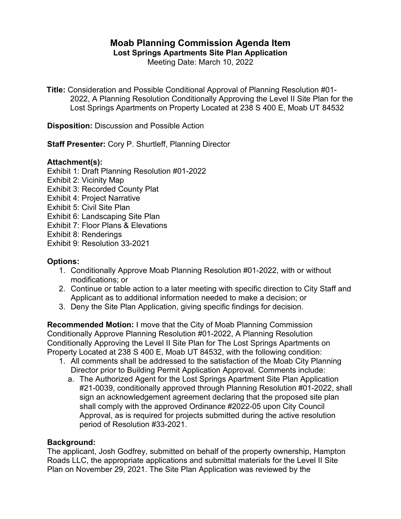# **Moab Planning Commission Agenda Item**

**Lost Springs Apartments Site Plan Application**

Meeting Date: March 10, 2022

**Title:** Consideration and Possible Conditional Approval of Planning Resolution #01- 2022, A Planning Resolution Conditionally Approving the Level II Site Plan for the Lost Springs Apartments on Property Located at 238 S 400 E, Moab UT 84532

**Disposition:** Discussion and Possible Action

**Staff Presenter:** Cory P. Shurtleff, Planning Director

## **Attachment(s):**

Exhibit 1: Draft Planning Resolution #01-2022

- Exhibit 2: Vicinity Map
- Exhibit 3: Recorded County Plat
- Exhibit 4: Project Narrative
- Exhibit 5: Civil Site Plan
- Exhibit 6: Landscaping Site Plan
- Exhibit 7: Floor Plans & Elevations
- Exhibit 8: Renderings

Exhibit 9: Resolution 33-2021

## **Options:**

- 1. Conditionally Approve Moab Planning Resolution #01-2022, with or without modifications; or
- 2. Continue or table action to a later meeting with specific direction to City Staff and Applicant as to additional information needed to make a decision; or
- 3. Deny the Site Plan Application, giving specific findings for decision.

**Recommended Motion:** I move that the City of Moab Planning Commission Conditionally Approve Planning Resolution #01-2022, A Planning Resolution Conditionally Approving the Level II Site Plan for The Lost Springs Apartments on Property Located at 238 S 400 E, Moab UT 84532, with the following condition:

- 1. All comments shall be addressed to the satisfaction of the Moab City Planning Director prior to Building Permit Application Approval. Comments include:
	- a. The Authorized Agent for the Lost Springs Apartment Site Plan Application #21-0039, conditionally approved through Planning Resolution #01-2022, shall sign an acknowledgement agreement declaring that the proposed site plan shall comply with the approved Ordinance #2022-05 upon City Council Approval, as is required for projects submitted during the active resolution period of Resolution #33-2021.

## **Background:**

The applicant, Josh Godfrey, submitted on behalf of the property ownership, Hampton Roads LLC, the appropriate applications and submittal materials for the Level II Site Plan on November 29, 2021. The Site Plan Application was reviewed by the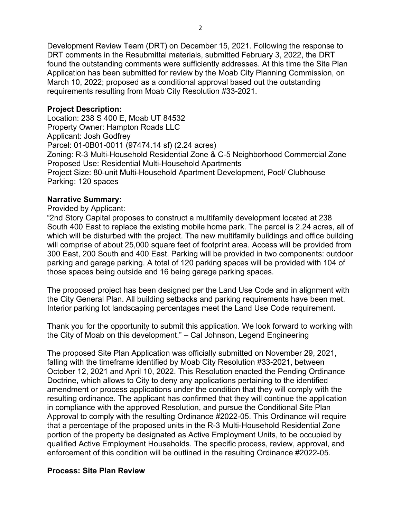Development Review Team (DRT) on December 15, 2021. Following the response to DRT comments in the Resubmittal materials, submitted February 3, 2022, the DRT found the outstanding comments were sufficiently addresses. At this time the Site Plan Application has been submitted for review by the Moab City Planning Commission, on March 10, 2022; proposed as a conditional approval based out the outstanding requirements resulting from Moab City Resolution #33-2021.

#### **Project Description:**

Location: 238 S 400 E, Moab UT 84532 Property Owner: Hampton Roads LLC Applicant: Josh Godfrey Parcel: 01-0B01-0011 (97474.14 sf) (2.24 acres) Zoning: R-3 Multi-Household Residential Zone & C-5 Neighborhood Commercial Zone Proposed Use: Residential Multi-Household Apartments Project Size: 80-unit Multi-Household Apartment Development, Pool/ Clubhouse Parking: 120 spaces

## **Narrative Summary:**

Provided by Applicant:

"2nd Story Capital proposes to construct a multifamily development located at 238 South 400 East to replace the existing mobile home park. The parcel is 2.24 acres, all of which will be disturbed with the project. The new multifamily buildings and office building will comprise of about 25,000 square feet of footprint area. Access will be provided from 300 East, 200 South and 400 East. Parking will be provided in two components: outdoor parking and garage parking. A total of 120 parking spaces will be provided with 104 of those spaces being outside and 16 being garage parking spaces.

The proposed project has been designed per the Land Use Code and in alignment with the City General Plan. All building setbacks and parking requirements have been met. Interior parking lot landscaping percentages meet the Land Use Code requirement.

Thank you for the opportunity to submit this application. We look forward to working with the City of Moab on this development." – Cal Johnson, Legend Engineering

The proposed Site Plan Application was officially submitted on November 29, 2021, falling with the timeframe identified by Moab City Resolution #33-2021, between October 12, 2021 and April 10, 2022. This Resolution enacted the Pending Ordinance Doctrine, which allows to City to deny any applications pertaining to the identified amendment or process applications under the condition that they will comply with the resulting ordinance. The applicant has confirmed that they will continue the application in compliance with the approved Resolution, and pursue the Conditional Site Plan Approval to comply with the resulting Ordinance #2022-05. This Ordinance will require that a percentage of the proposed units in the R-3 Multi-Household Residential Zone portion of the property be designated as Active Employment Units, to be occupied by qualified Active Employment Households. The specific process, review, approval, and enforcement of this condition will be outlined in the resulting Ordinance #2022-05.

## **Process: Site Plan Review**